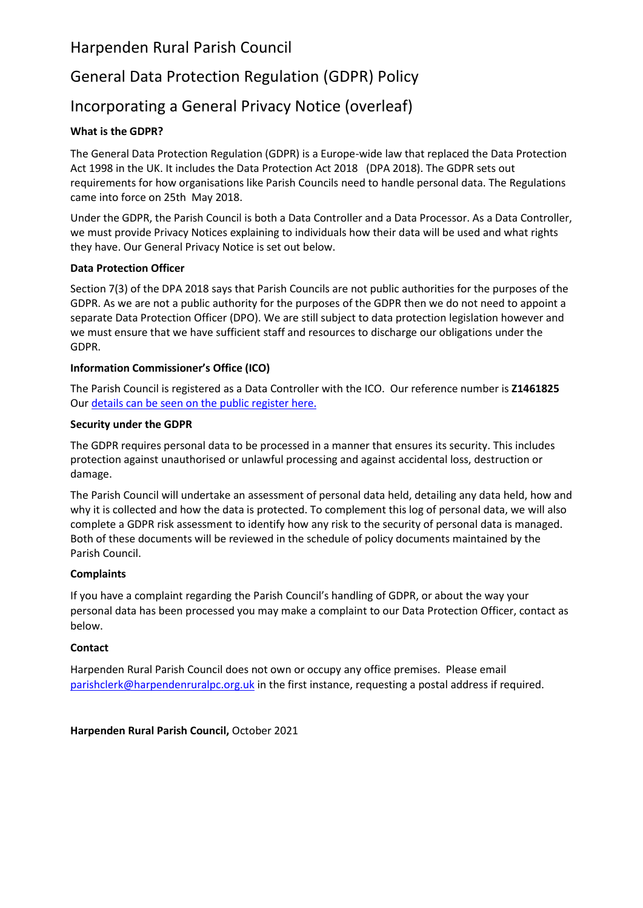# Harpenden Rural Parish Council

# General Data Protection Regulation (GDPR) Policy

# Incorporating a General Privacy Notice (overleaf)

## **What is the GDPR?**

The General Data Protection Regulation (GDPR) is a Europe-wide law that replaced the Data Protection Act 1998 in the UK. It includes the [Data Protection Act 2018](https://ico.org.uk/for-organisations/data-protection-bill/) (DPA 2018). The GDPR sets out requirements for how organisations like Parish Councils need to handle personal data. The Regulations came into force on 25th May 2018.

Under the GDPR, the Parish Council is both a Data Controller and a Data Processor. As a Data Controller, we must provide Privacy Notices explaining to individuals how their data will be used and what rights they have. Our General Privacy Notice is set out below.

## **Data Protection Officer**

Section 7(3) of the DPA 2018 says that Parish Councils are not public authorities for the purposes of the GDPR. As we are not a public authority for the purposes of the GDPR then we do not need to appoint a separate Data Protection Officer (DPO). We are still subject to data protection legislation however and we must ensure that we have sufficient staff and resources to discharge our obligations under the GDPR.

## **Information Commissioner's Office (ICO)**

The Parish Council is registered as a Data Controller with the ICO. Our reference number is **Z1461825** Ou[r details can be seen on the public register](https://ico.org.uk/ESDWebPages/Entry/Z1461808) here.

#### **Security under the GDPR**

The GDPR requires personal data to be processed in a manner that ensures its security. This includes protection against unauthorised or unlawful processing and against accidental loss, destruction or damage.

The Parish Council will undertake an assessment of personal data held, detailing any data held, how and why it is collected and how the data is protected. To complement this log of personal data, we will also complete a GDPR risk assessment to identify how any risk to the security of personal data is managed. Both of these documents will be reviewed in the schedule of policy documents maintained by the Parish Council.

#### **Complaints**

If you have a complaint regarding the Parish Council's handling of GDPR, or about the way your personal data has been processed you may make a complaint to our Data Protection Officer, contact as below.

## **Contact**

Harpenden Rural Parish Council does not own or occupy any office premises. Please email [parishclerk@harpendenruralpc.org.uk](mailto:parishclerk@harpendenruralpc.org.uk) in the first instance, requesting a postal address if required.

**Harpenden Rural Parish Council,** October 2021